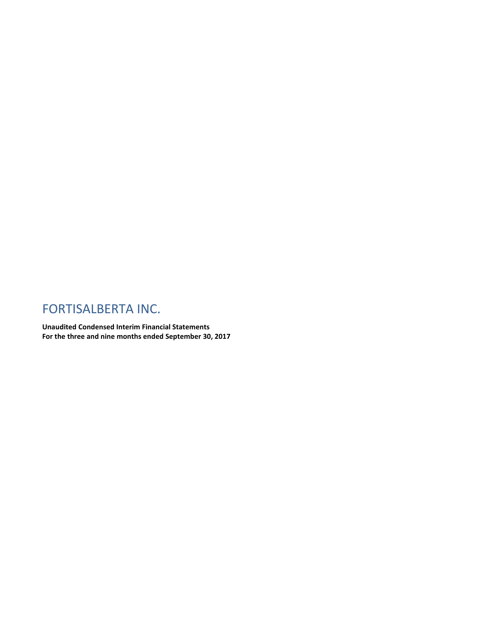# FORTISALBERTA INC.

**Unaudited Condensed Interim Financial Statements For the three and nine months ended September 30, 2017**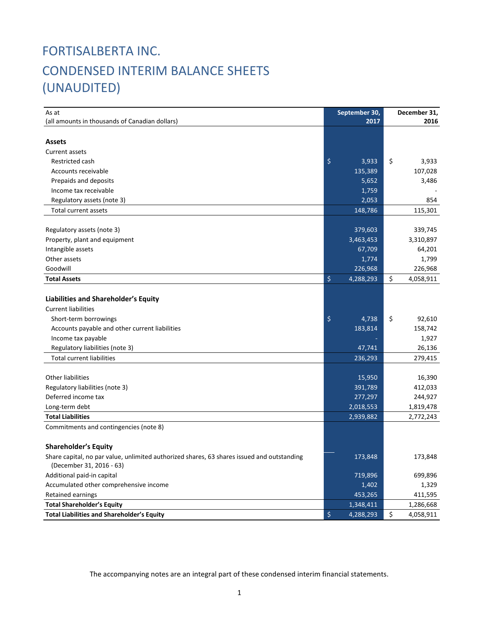# FORTISALBERTA INC. CONDENSED INTERIM BALANCE SHEETS (UNAUDITED)

| As at                                                                                      |                    | September 30, | December 31,    |
|--------------------------------------------------------------------------------------------|--------------------|---------------|-----------------|
| (all amounts in thousands of Canadian dollars)                                             |                    | 2017          | 2016            |
|                                                                                            |                    |               |                 |
| <b>Assets</b>                                                                              |                    |               |                 |
| Current assets                                                                             |                    |               |                 |
| Restricted cash                                                                            | $\ddot{\varsigma}$ | 3,933         | \$<br>3,933     |
| Accounts receivable                                                                        |                    | 135,389       | 107,028         |
| Prepaids and deposits                                                                      |                    | 5,652         | 3,486           |
| Income tax receivable                                                                      |                    | 1,759         |                 |
| Regulatory assets (note 3)                                                                 |                    | 2,053         | 854             |
| Total current assets                                                                       |                    | 148,786       | 115,301         |
|                                                                                            |                    |               |                 |
| Regulatory assets (note 3)                                                                 |                    | 379,603       | 339,745         |
| Property, plant and equipment                                                              |                    | 3,463,453     | 3,310,897       |
| Intangible assets                                                                          |                    | 67,709        | 64,201          |
| Other assets                                                                               |                    | 1,774         | 1,799           |
| Goodwill                                                                                   |                    | 226,968       | 226,968         |
| <b>Total Assets</b>                                                                        | $\ddot{\varsigma}$ | 4,288,293     | \$<br>4,058,911 |
|                                                                                            |                    |               |                 |
| <b>Liabilities and Shareholder's Equity</b>                                                |                    |               |                 |
| <b>Current liabilities</b>                                                                 |                    |               |                 |
| Short-term borrowings                                                                      | $\ddot{\varsigma}$ | 4,738         | \$<br>92,610    |
| Accounts payable and other current liabilities                                             |                    | 183,814       | 158,742         |
| Income tax payable                                                                         |                    |               | 1,927           |
| Regulatory liabilities (note 3)                                                            |                    | 47,741        | 26,136          |
| <b>Total current liabilities</b>                                                           |                    | 236,293       | 279,415         |
|                                                                                            |                    |               |                 |
| <b>Other liabilities</b>                                                                   |                    | 15,950        | 16,390          |
| Regulatory liabilities (note 3)                                                            |                    | 391,789       | 412,033         |
| Deferred income tax                                                                        |                    | 277,297       | 244,927         |
| Long-term debt                                                                             |                    | 2,018,553     | 1,819,478       |
| <b>Total Liabilities</b>                                                                   |                    | 2,939,882     | 2,772,243       |
| Commitments and contingencies (note 8)                                                     |                    |               |                 |
|                                                                                            |                    |               |                 |
| <b>Shareholder's Equity</b>                                                                |                    |               |                 |
| Share capital, no par value, unlimited authorized shares, 63 shares issued and outstanding |                    | 173,848       | 173,848         |
| (December 31, 2016 - 63)                                                                   |                    |               |                 |
| Additional paid-in capital                                                                 |                    | 719,896       | 699,896         |
| Accumulated other comprehensive income                                                     |                    | 1,402         | 1,329           |
| Retained earnings                                                                          |                    | 453,265       | 411,595         |
| <b>Total Shareholder's Equity</b>                                                          |                    | 1,348,411     | 1,286,668       |
| <b>Total Liabilities and Shareholder's Equity</b>                                          | \$                 | 4,288,293     | \$<br>4,058,911 |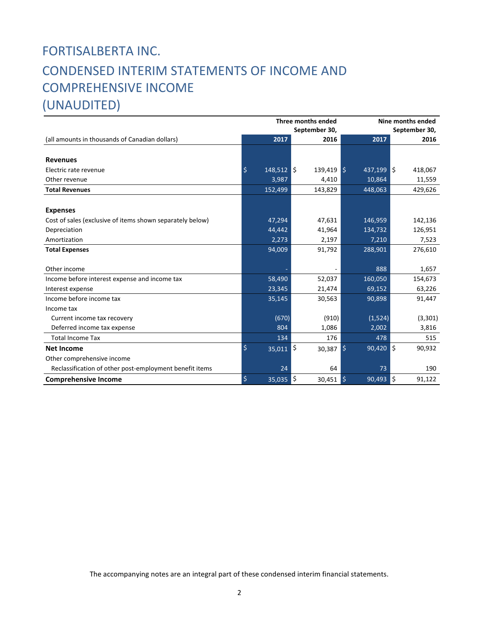# FORTISALBERTA INC. CONDENSED INTERIM STATEMENTS OF INCOME AND COMPREHENSIVE INCOME (UNAUDITED)

|                                                           |                    | Three months ended | Nine months ended             |               |  |  |  |
|-----------------------------------------------------------|--------------------|--------------------|-------------------------------|---------------|--|--|--|
|                                                           |                    | September 30,      | September 30,                 |               |  |  |  |
| (all amounts in thousands of Canadian dollars)            | 2017               | 2016               | 2017                          | 2016          |  |  |  |
|                                                           |                    |                    |                               |               |  |  |  |
| <b>Revenues</b>                                           |                    |                    |                               |               |  |  |  |
| Electric rate revenue                                     | \$<br>$148,512$ \$ | 139,419            | I\$<br>$437,199$ \$           | 418,067       |  |  |  |
| Other revenue                                             | 3,987              | 4,410              | 10,864                        | 11,559        |  |  |  |
| <b>Total Revenues</b>                                     | 152,499            | 143,829            | 448,063                       | 429,626       |  |  |  |
|                                                           |                    |                    |                               |               |  |  |  |
| <b>Expenses</b>                                           |                    |                    |                               |               |  |  |  |
| Cost of sales (exclusive of items shown separately below) | 47,294             | 47,631             | 146,959                       | 142,136       |  |  |  |
| Depreciation                                              | 44,442             | 41,964             | 134,732                       | 126,951       |  |  |  |
| Amortization                                              | 2,273              | 2,197              | 7,210                         | 7,523         |  |  |  |
| <b>Total Expenses</b>                                     | 94,009             | 91,792             | 288,901                       | 276,610       |  |  |  |
|                                                           |                    |                    |                               |               |  |  |  |
| Other income                                              |                    |                    | 888                           | 1,657         |  |  |  |
| Income before interest expense and income tax             | 58,490             | 52,037             | 160,050                       | 154,673       |  |  |  |
| Interest expense                                          | 23,345             | 21,474             | 69,152                        | 63,226        |  |  |  |
| Income before income tax                                  | 35,145             | 30,563             | 90,898                        | 91,447        |  |  |  |
| Income tax                                                |                    |                    |                               |               |  |  |  |
| Current income tax recovery                               | (670)              | (910)              | (1,524)                       | (3, 301)      |  |  |  |
| Deferred income tax expense                               | 804                | 1,086              | 2,002                         | 3,816         |  |  |  |
| <b>Total Income Tax</b>                                   | 134                | 176                | 478                           | 515           |  |  |  |
| <b>Net Income</b>                                         | \$<br>$35,011$ \$  | 30,387             | $\overline{90,420}$ \$<br>I\$ | 90,932        |  |  |  |
| Other comprehensive income                                |                    |                    |                               |               |  |  |  |
| Reclassification of other post-employment benefit items   | 24                 | 64                 | 73                            | 190           |  |  |  |
| <b>Comprehensive Income</b>                               | \$<br>35,035       | \$<br>30,451       | I\$<br>90,493                 | ۱\$<br>91,122 |  |  |  |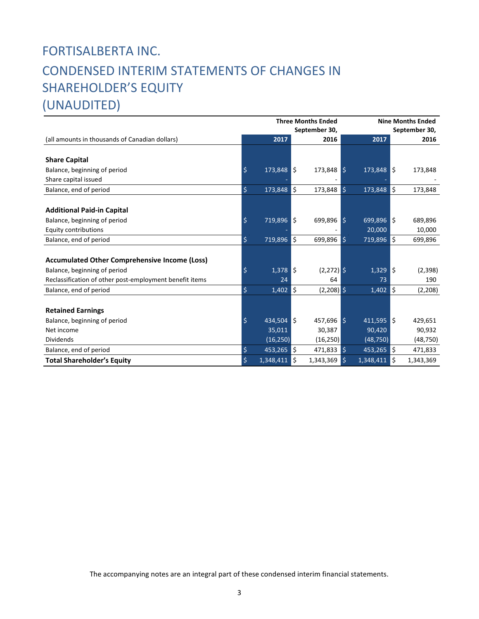# FORTISALBERTA INC. CONDENSED INTERIM STATEMENTS OF CHANGES IN SHAREHOLDER'S EQUITY

(UNAUDITED)

|                                                         |                        | <b>Three Months Ended</b> |     |              |              | <b>Nine Months Ended</b> |     |               |  |  |
|---------------------------------------------------------|------------------------|---------------------------|-----|--------------|--------------|--------------------------|-----|---------------|--|--|
|                                                         |                        | September 30,             |     |              |              |                          |     | September 30, |  |  |
| (all amounts in thousands of Canadian dollars)          |                        | 2017                      |     | 2016         |              | 2017                     |     | 2016          |  |  |
|                                                         |                        |                           |     |              |              |                          |     |               |  |  |
| <b>Share Capital</b>                                    |                        |                           |     |              |              |                          |     |               |  |  |
| Balance, beginning of period                            | \$                     | $173,848$ \$              |     | $173,848$ \$ |              | $173,848$ \$             |     | 173,848       |  |  |
| Share capital issued                                    |                        |                           |     |              |              |                          |     |               |  |  |
| Balance, end of period                                  | \$                     | 173,848                   | ls  | 173,848      | Ś.           | 173,848                  | ۱\$ | 173,848       |  |  |
|                                                         |                        |                           |     |              |              |                          |     |               |  |  |
| <b>Additional Paid-in Capital</b>                       |                        |                           |     |              |              |                          |     |               |  |  |
| Balance, beginning of period                            | \$                     | 719,896 \$                |     | 699,896      | I\$          | $699,896$ $\sqrt{5}$     |     | 689,896       |  |  |
| <b>Equity contributions</b>                             |                        |                           |     |              |              | 20,000                   |     | 10,000        |  |  |
| Balance, end of period                                  | \$                     | $719,896$ \$              |     | 699,896      | l Ś          | 719,896                  | ١ś  | 699,896       |  |  |
|                                                         |                        |                           |     |              |              |                          |     |               |  |  |
| <b>Accumulated Other Comprehensive Income (Loss)</b>    |                        |                           |     |              |              |                          |     |               |  |  |
| Balance, beginning of period                            | \$                     | $1,378$ \$                |     | $(2,272)$ \$ |              | $1,329$ \$               |     | (2,398)       |  |  |
| Reclassification of other post-employment benefit items |                        | 24                        |     | 64           |              | 73                       |     | 190           |  |  |
| Balance, end of period                                  | \$                     | 1,402                     | ۱\$ | $(2,208)$ \$ |              | 1,402                    | ۱\$ | (2, 208)      |  |  |
|                                                         |                        |                           |     |              |              |                          |     |               |  |  |
| <b>Retained Earnings</b>                                |                        |                           |     |              |              |                          |     |               |  |  |
| Balance, beginning of period                            | \$                     | 434.504 S                 |     | $457.696$ \$ |              | $411,595$ \$             |     | 429,651       |  |  |
| Net income                                              |                        | 35,011                    |     | 30,387       |              | 90,420                   |     | 90,932        |  |  |
| <b>Dividends</b>                                        |                        | (16, 250)                 |     | (16, 250)    |              | (48, 750)                |     | (48,750)      |  |  |
| Balance, end of period                                  | $\overline{\varsigma}$ | 453,265                   | ls. | 471,833      | $\mathsf{S}$ | 453,265                  | l\$ | 471,833       |  |  |
| <b>Total Shareholder's Equity</b>                       | \$                     | 1,348,411                 | ۱ś  | 1,343,369    | \$           | 1,348,411                | \$  | 1,343,369     |  |  |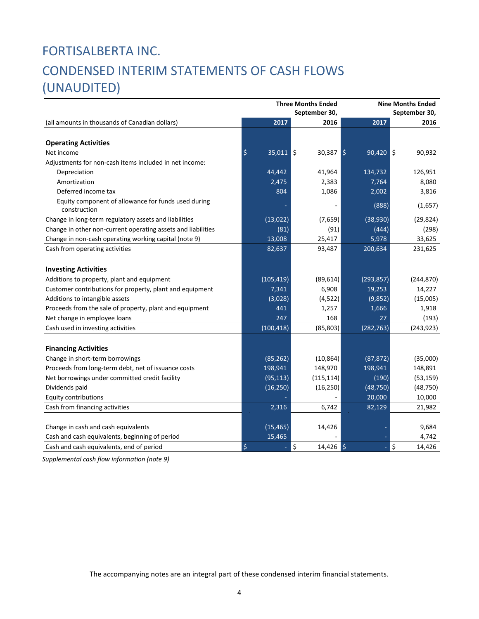# FORTISALBERTA INC. CONDENSED INTERIM STATEMENTS OF CASH FLOWS (UNAUDITED)

|                                                                     | <b>Three Months Ended</b> |                   |               | <b>Nine Months Ended</b> |              |  |  |  |
|---------------------------------------------------------------------|---------------------------|-------------------|---------------|--------------------------|--------------|--|--|--|
|                                                                     |                           | September 30,     | September 30, |                          |              |  |  |  |
| (all amounts in thousands of Canadian dollars)                      | 2017                      | 2016              |               | 2017                     | 2016         |  |  |  |
|                                                                     |                           |                   |               |                          |              |  |  |  |
| <b>Operating Activities</b>                                         |                           |                   |               |                          |              |  |  |  |
| Net income                                                          | \$<br>$35,011$ \$         | $30,387$ \$       |               | $90,420$ \$              | 90,932       |  |  |  |
| Adjustments for non-cash items included in net income:              |                           |                   |               |                          |              |  |  |  |
| Depreciation                                                        | 44,442                    | 41,964            |               | 134,732                  | 126,951      |  |  |  |
| Amortization                                                        | 2,475                     | 2,383             |               | 7,764                    | 8,080        |  |  |  |
| Deferred income tax                                                 | 804                       | 1,086             |               | 2,002                    | 3,816        |  |  |  |
| Equity component of allowance for funds used during<br>construction |                           |                   |               | (888)                    | (1,657)      |  |  |  |
| Change in long-term regulatory assets and liabilities               | (13, 022)                 | (7,659)           |               | (38, 930)                | (29, 824)    |  |  |  |
| Change in other non-current operating assets and liabilities        | (81)                      | (91)              |               | (444)                    | (298)        |  |  |  |
| Change in non-cash operating working capital (note 9)               | 13,008                    | 25,417            |               | 5,978                    | 33,625       |  |  |  |
| Cash from operating activities                                      | 82,637                    | 93,487            |               | 200,634                  | 231,625      |  |  |  |
|                                                                     |                           |                   |               |                          |              |  |  |  |
| <b>Investing Activities</b>                                         |                           |                   |               |                          |              |  |  |  |
| Additions to property, plant and equipment                          | (105, 419)                | (89, 614)         |               | (293, 857)               | (244, 870)   |  |  |  |
| Customer contributions for property, plant and equipment            | 7,341                     | 6,908             |               | 19,253                   | 14,227       |  |  |  |
| Additions to intangible assets                                      | (3,028)                   | (4, 522)          |               | (9,852)                  | (15,005)     |  |  |  |
| Proceeds from the sale of property, plant and equipment             | 441                       | 1,257             |               | 1,666                    | 1,918        |  |  |  |
| Net change in employee loans                                        | 247                       | 168               |               | 27                       | (193)        |  |  |  |
| Cash used in investing activities                                   | (100, 418)                | (85, 803)         |               | (282, 763)               | (243, 923)   |  |  |  |
| <b>Financing Activities</b>                                         |                           |                   |               |                          |              |  |  |  |
| Change in short-term borrowings                                     | (85, 262)                 | (10, 864)         |               | (87, 872)                | (35,000)     |  |  |  |
|                                                                     |                           |                   |               |                          |              |  |  |  |
| Proceeds from long-term debt, net of issuance costs                 | 198,941                   | 148,970           |               | 198,941                  | 148,891      |  |  |  |
| Net borrowings under committed credit facility                      | (95, 113)                 | (115, 114)        |               | (190)                    | (53, 159)    |  |  |  |
| Dividends paid                                                      | (16, 250)                 | (16, 250)         |               | (48, 750)                | (48, 750)    |  |  |  |
| <b>Equity contributions</b>                                         |                           |                   |               | 20,000                   | 10,000       |  |  |  |
| Cash from financing activities                                      | 2,316                     | 6,742             |               | 82,129                   | 21,982       |  |  |  |
| Change in cash and cash equivalents                                 | (15, 465)                 | 14,426            |               |                          | 9,684        |  |  |  |
| Cash and cash equivalents, beginning of period                      | 15,465                    |                   |               |                          | 4,742        |  |  |  |
| Cash and cash equivalents, end of period                            | \$                        | \$<br>$14,426$ \$ |               |                          | \$<br>14,426 |  |  |  |
|                                                                     |                           |                   |               |                          |              |  |  |  |

*Supplemental cash flow information (note 9)*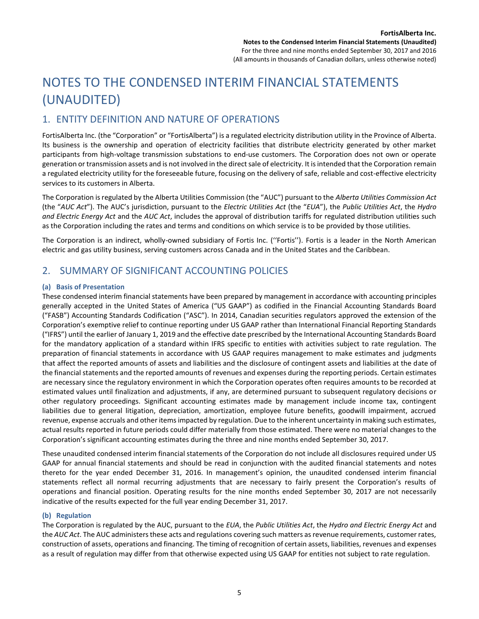# NOTES TO THE CONDENSED INTERIM FINANCIAL STATEMENTS (UNAUDITED)

### 1. ENTITY DEFINITION AND NATURE OF OPERATIONS

FortisAlberta Inc. (the "Corporation" or "FortisAlberta") is a regulated electricity distribution utility in the Province of Alberta. Its business is the ownership and operation of electricity facilities that distribute electricity generated by other market participants from high-voltage transmission substations to end-use customers. The Corporation does not own or operate generation or transmission assets and is not involved in the direct sale of electricity. It is intended that the Corporation remain a regulated electricity utility for the foreseeable future, focusing on the delivery of safe, reliable and cost-effective electricity services to its customers in Alberta.

The Corporation is regulated by the Alberta Utilities Commission (the "AUC") pursuant to the *Alberta Utilities Commission Act* (the "*AUC Act*"). The AUC's jurisdiction, pursuant to the *Electric Utilities Act* (the "*EUA*"), the *Public Utilities Act*, the *Hydro and Electric Energy Act* and the *AUC Act*, includes the approval of distribution tariffs for regulated distribution utilities such as the Corporation including the rates and terms and conditions on which service is to be provided by those utilities.

The Corporation is an indirect, wholly-owned subsidiary of Fortis Inc. (''Fortis''). Fortis is a leader in the North American electric and gas utility business, serving customers across Canada and in the United States and the Caribbean.

### 2. SUMMARY OF SIGNIFICANT ACCOUNTING POLICIES

#### **(a) Basis of Presentation**

These condensed interim financial statements have been prepared by management in accordance with accounting principles generally accepted in the United States of America ("US GAAP") as codified in the Financial Accounting Standards Board ("FASB") Accounting Standards Codification ("ASC"). In 2014, Canadian securities regulators approved the extension of the Corporation's exemptive relief to continue reporting under US GAAP rather than International Financial Reporting Standards ("IFRS") until the earlier of January 1, 2019 and the effective date prescribed by the International Accounting Standards Board for the mandatory application of a standard within IFRS specific to entities with activities subject to rate regulation. The preparation of financial statements in accordance with US GAAP requires management to make estimates and judgments that affect the reported amounts of assets and liabilities and the disclosure of contingent assets and liabilities at the date of the financial statements and the reported amounts of revenues and expenses during the reporting periods. Certain estimates are necessary since the regulatory environment in which the Corporation operates often requires amounts to be recorded at estimated values until finalization and adjustments, if any, are determined pursuant to subsequent regulatory decisions or other regulatory proceedings. Significant accounting estimates made by management include income tax, contingent liabilities due to general litigation, depreciation, amortization, employee future benefits, goodwill impairment, accrued revenue, expense accruals and other items impacted by regulation. Due to the inherent uncertainty in making such estimates, actual results reported in future periods could differ materially from those estimated. There were no material changes to the Corporation's significant accounting estimates during the three and nine months ended September 30, 2017.

These unaudited condensed interim financial statements of the Corporation do not include all disclosures required under US GAAP for annual financial statements and should be read in conjunction with the audited financial statements and notes thereto for the year ended December 31, 2016. In management's opinion, the unaudited condensed interim financial statements reflect all normal recurring adjustments that are necessary to fairly present the Corporation's results of operations and financial position. Operating results for the nine months ended September 30, 2017 are not necessarily indicative of the results expected for the full year ending December 31, 2017.

#### **(b) Regulation**

The Corporation is regulated by the AUC, pursuant to the *EUA*, the *Public Utilities Act*, the *Hydro and Electric Energy Act* and the *AUC Act*. The AUC administers these acts and regulations covering such matters as revenue requirements, customer rates, construction of assets, operations and financing. The timing of recognition of certain assets, liabilities, revenues and expenses as a result of regulation may differ from that otherwise expected using US GAAP for entities not subject to rate regulation.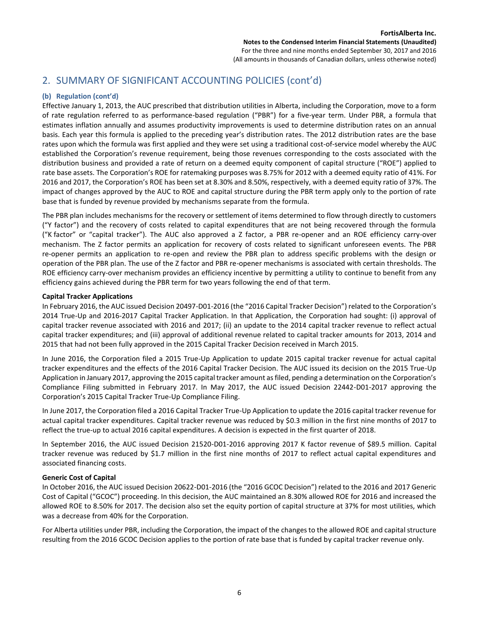#### **(b) Regulation (cont'd)**

Effective January 1, 2013, the AUC prescribed that distribution utilities in Alberta, including the Corporation, move to a form of rate regulation referred to as performance-based regulation ("PBR") for a five-year term. Under PBR, a formula that estimates inflation annually and assumes productivity improvements is used to determine distribution rates on an annual basis. Each year this formula is applied to the preceding year's distribution rates. The 2012 distribution rates are the base rates upon which the formula was first applied and they were set using a traditional cost-of-service model whereby the AUC established the Corporation's revenue requirement, being those revenues corresponding to the costs associated with the distribution business and provided a rate of return on a deemed equity component of capital structure ("ROE") applied to rate base assets. The Corporation's ROE for ratemaking purposes was 8.75% for 2012 with a deemed equity ratio of 41%. For 2016 and 2017, the Corporation's ROE has been set at 8.30% and 8.50%, respectively, with a deemed equity ratio of 37%. The impact of changes approved by the AUC to ROE and capital structure during the PBR term apply only to the portion of rate base that is funded by revenue provided by mechanisms separate from the formula.

The PBR plan includes mechanisms for the recovery or settlement of items determined to flow through directly to customers ("Y factor") and the recovery of costs related to capital expenditures that are not being recovered through the formula ("K factor" or "capital tracker"). The AUC also approved a Z factor, a PBR re-opener and an ROE efficiency carry-over mechanism. The Z factor permits an application for recovery of costs related to significant unforeseen events. The PBR re-opener permits an application to re-open and review the PBR plan to address specific problems with the design or operation of the PBR plan. The use of the Z factor and PBR re-opener mechanisms is associated with certain thresholds. The ROE efficiency carry-over mechanism provides an efficiency incentive by permitting a utility to continue to benefit from any efficiency gains achieved during the PBR term for two years following the end of that term.

#### **Capital Tracker Applications**

In February 2016, the AUC issued Decision 20497-D01-2016 (the "2016 Capital Tracker Decision") related to the Corporation's 2014 True-Up and 2016-2017 Capital Tracker Application. In that Application, the Corporation had sought: (i) approval of capital tracker revenue associated with 2016 and 2017; (ii) an update to the 2014 capital tracker revenue to reflect actual capital tracker expenditures; and (iii) approval of additional revenue related to capital tracker amounts for 2013, 2014 and 2015 that had not been fully approved in the 2015 Capital Tracker Decision received in March 2015.

In June 2016, the Corporation filed a 2015 True-Up Application to update 2015 capital tracker revenue for actual capital tracker expenditures and the effects of the 2016 Capital Tracker Decision. The AUC issued its decision on the 2015 True-Up Application in January 2017, approving the 2015 capital tracker amount as filed, pending a determination on the Corporation's Compliance Filing submitted in February 2017. In May 2017, the AUC issued Decision 22442-D01-2017 approving the Corporation's 2015 Capital Tracker True-Up Compliance Filing.

In June 2017, the Corporation filed a 2016 Capital Tracker True-Up Application to update the 2016 capital tracker revenue for actual capital tracker expenditures. Capital tracker revenue was reduced by \$0.3 million in the first nine months of 2017 to reflect the true-up to actual 2016 capital expenditures. A decision is expected in the first quarter of 2018.

In September 2016, the AUC issued Decision 21520-D01-2016 approving 2017 K factor revenue of \$89.5 million. Capital tracker revenue was reduced by \$1.7 million in the first nine months of 2017 to reflect actual capital expenditures and associated financing costs.

#### **Generic Cost of Capital**

In October 2016, the AUC issued Decision 20622-D01-2016 (the "2016 GCOC Decision") related to the 2016 and 2017 Generic Cost of Capital ("GCOC") proceeding. In this decision, the AUC maintained an 8.30% allowed ROE for 2016 and increased the allowed ROE to 8.50% for 2017. The decision also set the equity portion of capital structure at 37% for most utilities, which was a decrease from 40% for the Corporation.

For Alberta utilities under PBR, including the Corporation, the impact of the changes to the allowed ROE and capital structure resulting from the 2016 GCOC Decision applies to the portion of rate base that is funded by capital tracker revenue only.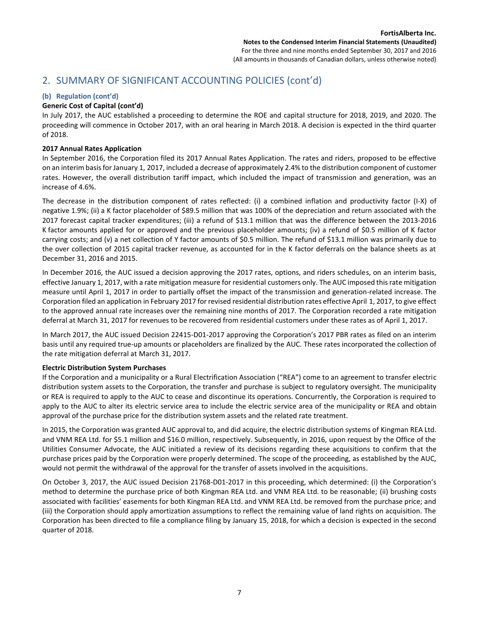#### **(b) Regulation (cont'd)**

#### **Generic Cost of Capital (cont'd)**

In July 2017, the AUC established a proceeding to determine the ROE and capital structure for 2018, 2019, and 2020. The proceeding will commence in October 2017, with an oral hearing in March 2018. A decision is expected in the third quarter of 2018.

#### **2017 Annual Rates Application**

In September 2016, the Corporation filed its 2017 Annual Rates Application. The rates and riders, proposed to be effective on an interim basis for January 1, 2017, included a decrease of approximately 2.4% to the distribution component of customer rates. However, the overall distribution tariff impact, which included the impact of transmission and generation, was an increase of 4.6%.

The decrease in the distribution component of rates reflected: (i) a combined inflation and productivity factor (I-X) of negative 1.9%; (ii) a K factor placeholder of \$89.5 million that was 100% of the depreciation and return associated with the 2017 forecast capital tracker expenditures; (iii) a refund of \$13.1 million that was the difference between the 2013-2016 K factor amounts applied for or approved and the previous placeholder amounts; (iv) a refund of \$0.5 million of K factor carrying costs; and (v) a net collection of Y factor amounts of \$0.5 million. The refund of \$13.1 million was primarily due to the over collection of 2015 capital tracker revenue, as accounted for in the K factor deferrals on the balance sheets as at December 31, 2016 and 2015.

In December 2016, the AUC issued a decision approving the 2017 rates, options, and riders schedules, on an interim basis, effective January 1, 2017, with a rate mitigation measure for residential customers only. The AUC imposed this rate mitigation measure until April 1, 2017 in order to partially offset the impact of the transmission and generation-related increase. The Corporation filed an application in February 2017 for revised residential distribution rates effective April 1, 2017, to give effect to the approved annual rate increases over the remaining nine months of 2017. The Corporation recorded a rate mitigation deferral at March 31, 2017 for revenues to be recovered from residential customers under these rates as of April 1, 2017.

In March 2017, the AUC issued Decision 22415-D01-2017 approving the Corporation's 2017 PBR rates as filed on an interim basis until any required true-up amounts or placeholders are finalized by the AUC. These rates incorporated the collection of the rate mitigation deferral at March 31, 2017.

#### **Electric Distribution System Purchases**

If the Corporation and a municipality or a Rural Electrification Association ("REA") come to an agreement to transfer electric distribution system assets to the Corporation, the transfer and purchase is subject to regulatory oversight. The municipality or REA is required to apply to the AUC to cease and discontinue its operations. Concurrently, the Corporation is required to apply to the AUC to alter its electric service area to include the electric service area of the municipality or REA and obtain approval of the purchase price for the distribution system assets and the related rate treatment.

In 2015, the Corporation was granted AUC approval to, and did acquire, the electric distribution systems of Kingman REA Ltd. and VNM REA Ltd. for \$5.1 million and \$16.0 million, respectively. Subsequently, in 2016, upon request by the Office of the Utilities Consumer Advocate, the AUC initiated a review of its decisions regarding these acquisitions to confirm that the purchase prices paid by the Corporation were properly determined. The scope of the proceeding, as established by the AUC, would not permit the withdrawal of the approval for the transfer of assets involved in the acquisitions.

On October 3, 2017, the AUC issued Decision 21768-D01-2017 in this proceeding, which determined: (i) the Corporation's method to determine the purchase price of both Kingman REA Ltd. and VNM REA Ltd. to be reasonable; (ii) brushing costs associated with facilities' easements for both Kingman REA Ltd. and VNM REA Ltd. be removed from the purchase price; and (iii) the Corporation should apply amortization assumptions to reflect the remaining value of land rights on acquisition. The Corporation has been directed to file a compliance filing by January 15, 2018, for which a decision is expected in the second quarter of 2018.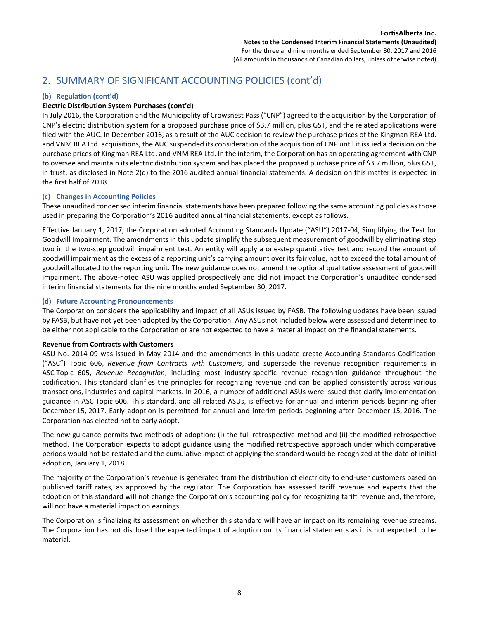#### **(b) Regulation (cont'd)**

#### **Electric Distribution System Purchases (cont'd)**

In July 2016, the Corporation and the Municipality of Crowsnest Pass ("CNP") agreed to the acquisition by the Corporation of CNP's electric distribution system for a proposed purchase price of \$3.7 million, plus GST, and the related applications were filed with the AUC. In December 2016, as a result of the AUC decision to review the purchase prices of the Kingman REA Ltd. and VNM REA Ltd. acquisitions, the AUC suspended its consideration of the acquisition of CNP until it issued a decision on the purchase prices of Kingman REA Ltd. and VNM REA Ltd. In the interim, the Corporation has an operating agreement with CNP to oversee and maintain its electric distribution system and has placed the proposed purchase price of \$3.7 million, plus GST, in trust, as disclosed in Note 2(d) to the 2016 audited annual financial statements. A decision on this matter is expected in the first half of 2018.

#### **(c) Changes in Accounting Policies**

These unaudited condensed interim financial statements have been prepared following the same accounting policies as those used in preparing the Corporation's 2016 audited annual financial statements, except as follows.

Effective January 1, 2017, the Corporation adopted Accounting Standards Update ("ASU") 2017-04, Simplifying the Test for Goodwill Impairment. The amendments in this update simplify the subsequent measurement of goodwill by eliminating step two in the two-step goodwill impairment test. An entity will apply a one-step quantitative test and record the amount of goodwill impairment as the excess of a reporting unit's carrying amount over its fair value, not to exceed the total amount of goodwill allocated to the reporting unit. The new guidance does not amend the optional qualitative assessment of goodwill impairment. The above-noted ASU was applied prospectively and did not impact the Corporation's unaudited condensed interim financial statements for the nine months ended September 30, 2017.

#### **(d) Future Accounting Pronouncements**

The Corporation considers the applicability and impact of all ASUs issued by FASB. The following updates have been issued by FASB, but have not yet been adopted by the Corporation. Any ASUs not included below were assessed and determined to be either not applicable to the Corporation or are not expected to have a material impact on the financial statements.

#### **Revenue from Contracts with Customers**

ASU No. 2014-09 was issued in May 2014 and the amendments in this update create Accounting Standards Codification ("ASC") Topic 606, *Revenue from Contracts with Customers*, and supersede the revenue recognition requirements in ASC Topic 605, *Revenue Recognition*, including most industry-specific revenue recognition guidance throughout the codification. This standard clarifies the principles for recognizing revenue and can be applied consistently across various transactions, industries and capital markets. In 2016, a number of additional ASUs were issued that clarify implementation guidance in ASC Topic 606. This standard, and all related ASUs, is effective for annual and interim periods beginning after December 15, 2017. Early adoption is permitted for annual and interim periods beginning after December 15, 2016. The Corporation has elected not to early adopt.

The new guidance permits two methods of adoption: (i) the full retrospective method and (ii) the modified retrospective method. The Corporation expects to adopt guidance using the modified retrospective approach under which comparative periods would not be restated and the cumulative impact of applying the standard would be recognized at the date of initial adoption, January 1, 2018.

The majority of the Corporation's revenue is generated from the distribution of electricity to end-user customers based on published tariff rates, as approved by the regulator. The Corporation has assessed tariff revenue and expects that the adoption of this standard will not change the Corporation's accounting policy for recognizing tariff revenue and, therefore, will not have a material impact on earnings.

The Corporation is finalizing its assessment on whether this standard will have an impact on its remaining revenue streams. The Corporation has not disclosed the expected impact of adoption on its financial statements as it is not expected to be material.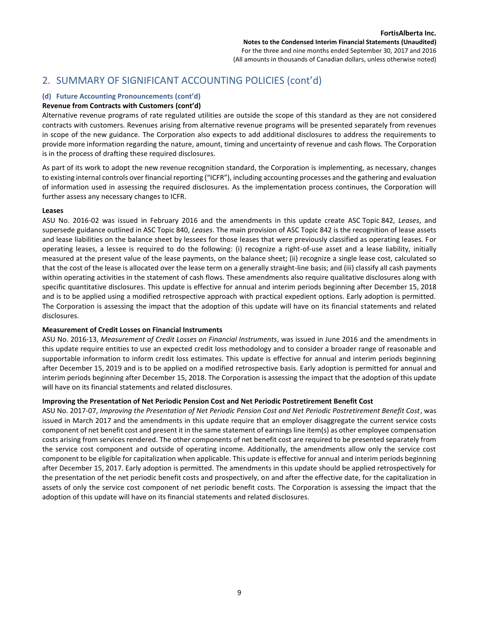#### **(d) Future Accounting Pronouncements (cont'd)**

#### **Revenue from Contracts with Customers (cont'd)**

Alternative revenue programs of rate regulated utilities are outside the scope of this standard as they are not considered contracts with customers. Revenues arising from alternative revenue programs will be presented separately from revenues in scope of the new guidance. The Corporation also expects to add additional disclosures to address the requirements to provide more information regarding the nature, amount, timing and uncertainty of revenue and cash flows. The Corporation is in the process of drafting these required disclosures.

As part of its work to adopt the new revenue recognition standard, the Corporation is implementing, as necessary, changes to existing internal controls over financial reporting ("ICFR"), including accounting processes and the gathering and evaluation of information used in assessing the required disclosures. As the implementation process continues, the Corporation will further assess any necessary changes to ICFR.

#### **Leases**

ASU No. 2016-02 was issued in February 2016 and the amendments in this update create ASC Topic 842, *Leases*, and supersede guidance outlined in ASC Topic 840, *Leases*. The main provision of ASC Topic 842 is the recognition of lease assets and lease liabilities on the balance sheet by lessees for those leases that were previously classified as operating leases. For operating leases, a lessee is required to do the following: (i) recognize a right-of-use asset and a lease liability, initially measured at the present value of the lease payments, on the balance sheet; (ii) recognize a single lease cost, calculated so that the cost of the lease is allocated over the lease term on a generally straight-line basis; and (iii) classify all cash payments within operating activities in the statement of cash flows. These amendments also require qualitative disclosures along with specific quantitative disclosures. This update is effective for annual and interim periods beginning after December 15, 2018 and is to be applied using a modified retrospective approach with practical expedient options. Early adoption is permitted. The Corporation is assessing the impact that the adoption of this update will have on its financial statements and related disclosures.

#### **Measurement of Credit Losses on Financial Instruments**

ASU No. 2016-13, *Measurement of Credit Losses on Financial Instruments*, was issued in June 2016 and the amendments in this update require entities to use an expected credit loss methodology and to consider a broader range of reasonable and supportable information to inform credit loss estimates. This update is effective for annual and interim periods beginning after December 15, 2019 and is to be applied on a modified retrospective basis. Early adoption is permitted for annual and interim periods beginning after December 15, 2018. The Corporation is assessing the impact that the adoption of this update will have on its financial statements and related disclosures.

#### **Improving the Presentation of Net Periodic Pension Cost and Net Periodic Postretirement Benefit Cost**

ASU No. 2017-07, *Improving the Presentation of Net Periodic Pension Cost and Net Periodic Postretirement Benefit Cost*, was issued in March 2017 and the amendments in this update require that an employer disaggregate the current service costs component of net benefit cost and present it in the same statement of earnings line item(s) as other employee compensation costs arising from services rendered. The other components of net benefit cost are required to be presented separately from the service cost component and outside of operating income. Additionally, the amendments allow only the service cost component to be eligible for capitalization when applicable. This update is effective for annual and interim periods beginning after December 15, 2017. Early adoption is permitted. The amendments in this update should be applied retrospectively for the presentation of the net periodic benefit costs and prospectively, on and after the effective date, for the capitalization in assets of only the service cost component of net periodic benefit costs. The Corporation is assessing the impact that the adoption of this update will have on its financial statements and related disclosures.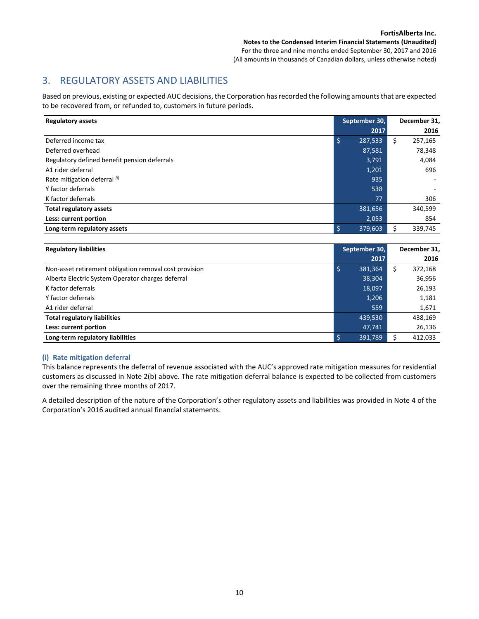## 3. REGULATORY ASSETS AND LIABILITIES

Based on previous, existing or expected AUC decisions, the Corporation has recorded the following amounts that are expected to be recovered from, or refunded to, customers in future periods.

| <b>Regulatory assets</b>                     | September 30, | December 31,  |
|----------------------------------------------|---------------|---------------|
|                                              | 2017          | 2016          |
| Deferred income tax                          | \$<br>287,533 | \$<br>257,165 |
| Deferred overhead                            | 87,581        | 78,348        |
| Regulatory defined benefit pension deferrals | 3,791         | 4,084         |
| A1 rider deferral                            | 1,201         | 696           |
| Rate mitigation deferral (i)                 | 935           |               |
| Y factor deferrals                           | 538           |               |
| K factor deferrals                           | 77            | 306           |
| <b>Total regulatory assets</b>               | 381,656       | 340,599       |
| Less: current portion                        | 2,053         | 854           |
| Long-term regulatory assets                  | \$<br>379,603 | 339,745       |

| <b>Regulatory liabilities</b>                          | September 30, |         |   | December 31, |
|--------------------------------------------------------|---------------|---------|---|--------------|
|                                                        |               | 2017    |   | 2016         |
| Non-asset retirement obligation removal cost provision |               | 381.364 | Ś | 372,168      |
| Alberta Electric System Operator charges deferral      |               | 38,304  |   | 36,956       |
| K factor deferrals                                     |               | 18,097  |   | 26,193       |
| Y factor deferrals                                     |               | 1,206   |   | 1,181        |
| A1 rider deferral                                      |               | 559     |   | 1,671        |
| <b>Total regulatory liabilities</b>                    |               | 439,530 |   | 438,169      |
| Less: current portion                                  |               | 47,741  |   | 26,136       |
| Long-term regulatory liabilities                       |               | 391,789 |   | 412,033      |

#### **(i) Rate mitigation deferral**

This balance represents the deferral of revenue associated with the AUC's approved rate mitigation measures for residential customers as discussed in Note 2(b) above. The rate mitigation deferral balance is expected to be collected from customers over the remaining three months of 2017.

A detailed description of the nature of the Corporation's other regulatory assets and liabilities was provided in Note 4 of the Corporation's 2016 audited annual financial statements.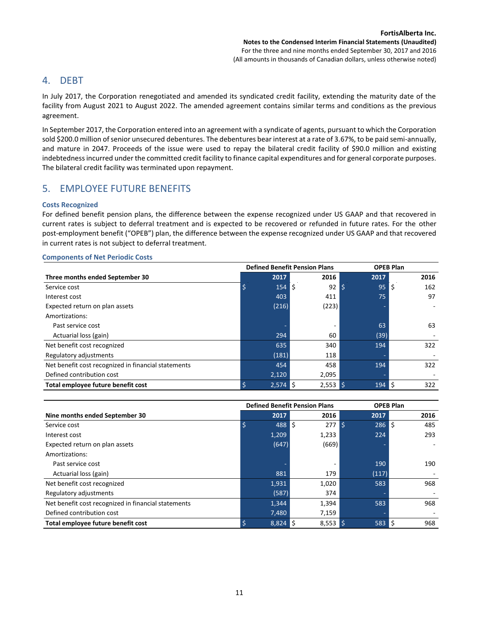### 4. DEBT

In July 2017, the Corporation renegotiated and amended its syndicated credit facility, extending the maturity date of the facility from August 2021 to August 2022. The amended agreement contains similar terms and conditions as the previous agreement.

In September 2017, the Corporation entered into an agreement with a syndicate of agents, pursuant to which the Corporation sold \$200.0 million of senior unsecured debentures. The debentures bear interest at a rate of 3.67%, to be paid semi-annually, and mature in 2047. Proceeds of the issue were used to repay the bilateral credit facility of \$90.0 million and existing indebtedness incurred under the committed credit facility to finance capital expenditures and for general corporate purposes. The bilateral credit facility was terminated upon repayment.

## 5. EMPLOYEE FUTURE BENEFITS

#### **Costs Recognized**

For defined benefit pension plans, the difference between the expense recognized under US GAAP and that recovered in current rates is subject to deferral treatment and is expected to be recovered or refunded in future rates. For the other post-employment benefit ("OPEB") plan, the difference between the expense recognized under US GAAP and that recovered in current rates is not subject to deferral treatment.

|                                                     |       | <b>Defined Benefit Pension Plans</b> |                                 | <b>OPEB Plan</b> |
|-----------------------------------------------------|-------|--------------------------------------|---------------------------------|------------------|
| Three months ended September 30                     | 2017  | 2016                                 | 2017                            | 2016             |
| Service cost                                        | 154   | l\$<br>92                            | l \$<br>95                      | Ś.<br>162        |
| Interest cost                                       | 403   | 411                                  | 75                              | 97               |
| Expected return on plan assets                      | (216) | (223)                                |                                 |                  |
| Amortizations:                                      |       |                                      |                                 |                  |
| Past service cost                                   |       |                                      | 63                              | 63               |
| Actuarial loss (gain)                               | 294   | 60                                   | (39)                            |                  |
| Net benefit cost recognized                         | 635   | 340                                  | 194                             | 322              |
| Regulatory adjustments                              | (181) | 118                                  |                                 |                  |
| Net benefit cost recognized in financial statements | 454   | 458                                  | 194                             | 322              |
| Defined contribution cost                           | 2,120 | 2,095                                |                                 |                  |
| Total employee future benefit cost                  | 2,574 | l S<br>$2,553$ \$                    | $194$ $\overline{\phantom{1}5}$ | 322              |

|                                                     | <b>Defined Benefit Pension Plans</b> |     |            |      | <b>OPEB Plan</b> |    |      |
|-----------------------------------------------------|--------------------------------------|-----|------------|------|------------------|----|------|
| Nine months ended September 30                      | 2017                                 |     | 2016       |      | 2017             |    | 2016 |
| Service cost                                        | 488                                  | l s | 277        | l \$ | 286              | Ŝ. | 485  |
| Interest cost                                       | 1,209                                |     | 1,233      |      | 224              |    | 293  |
| Expected return on plan assets                      | (647)                                |     | (669)      |      |                  |    |      |
| Amortizations:                                      |                                      |     |            |      |                  |    |      |
| Past service cost                                   |                                      |     |            |      | 190              |    | 190  |
| Actuarial loss (gain)                               | 881                                  |     | 179        |      | (117)            |    |      |
| Net benefit cost recognized                         | 1,931                                |     | 1,020      |      | 583              |    | 968  |
| Regulatory adjustments                              | (587)                                |     | 374        |      |                  |    |      |
| Net benefit cost recognized in financial statements | 1,344                                |     | 1,394      |      | 583              |    | 968  |
| Defined contribution cost                           | 7,480                                |     | 7,159      |      |                  |    |      |
| Total employee future benefit cost                  | 8,824                                | l Ś | $8,553$ \$ |      | 583              | S, | 968  |

**Components of Net Periodic Costs**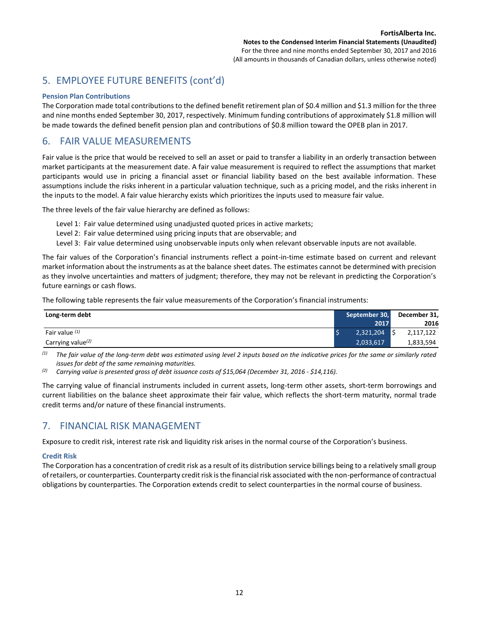# 5. EMPLOYEE FUTURE BENEFITS (cont'd)

#### **Pension Plan Contributions**

The Corporation made total contributions to the defined benefit retirement plan of \$0.4 million and \$1.3 million for the three and nine months ended September 30, 2017, respectively. Minimum funding contributions of approximately \$1.8 million will be made towards the defined benefit pension plan and contributions of \$0.8 million toward the OPEB plan in 2017.

## 6. FAIR VALUE MEASUREMENTS

Fair value is the price that would be received to sell an asset or paid to transfer a liability in an orderly transaction between market participants at the measurement date. A fair value measurement is required to reflect the assumptions that market participants would use in pricing a financial asset or financial liability based on the best available information. These assumptions include the risks inherent in a particular valuation technique, such as a pricing model, and the risks inherent in the inputs to the model. A fair value hierarchy exists which prioritizes the inputs used to measure fair value.

The three levels of the fair value hierarchy are defined as follows:

- Level 1: Fair value determined using unadjusted quoted prices in active markets;
- Level 2: Fair value determined using pricing inputs that are observable; and
- Level 3: Fair value determined using unobservable inputs only when relevant observable inputs are not available.

The fair values of the Corporation's financial instruments reflect a point-in-time estimate based on current and relevant market information about the instruments as at the balance sheet dates. The estimates cannot be determined with precision as they involve uncertainties and matters of judgment; therefore, they may not be relevant in predicting the Corporation's future earnings or cash flows.

The following table represents the fair value measurements of the Corporation's financial instruments:

| Long-term debt                | September 30, | December 31, |
|-------------------------------|---------------|--------------|
|                               | 2017          | 2016         |
| Fair value (1)                | 2,321,204     | 2,117,122    |
| Carrying value <sup>(2)</sup> | 2,033,617     | 1,833,594    |

*(1) The fair value of the long-term debt was estimated using level 2 inputs based on the indicative prices for the same or similarly rated issues for debt of the same remaining maturities.*

*(2) Carrying value is presented gross of debt issuance costs of \$15,064 (December 31, 2016 - \$14,116).*

The carrying value of financial instruments included in current assets, long-term other assets, short-term borrowings and current liabilities on the balance sheet approximate their fair value, which reflects the short-term maturity, normal trade credit terms and/or nature of these financial instruments.

## 7. FINANCIAL RISK MANAGEMENT

Exposure to credit risk, interest rate risk and liquidity risk arises in the normal course of the Corporation's business.

#### **Credit Risk**

The Corporation has a concentration of credit risk as a result of its distribution service billings being to a relatively small group of retailers, or counterparties. Counterparty credit risk is the financial risk associated with the non-performance of contractual obligations by counterparties. The Corporation extends credit to select counterparties in the normal course of business.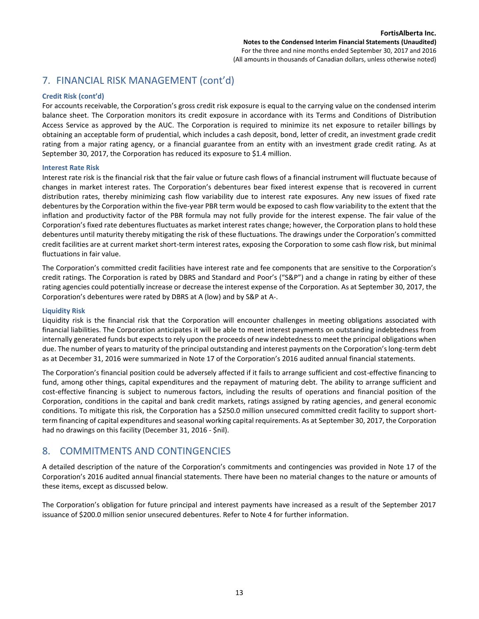# 7. FINANCIAL RISK MANAGEMENT (cont'd)

#### **Credit Risk (cont'd)**

For accounts receivable, the Corporation's gross credit risk exposure is equal to the carrying value on the condensed interim balance sheet. The Corporation monitors its credit exposure in accordance with its Terms and Conditions of Distribution Access Service as approved by the AUC. The Corporation is required to minimize its net exposure to retailer billings by obtaining an acceptable form of prudential, which includes a cash deposit, bond, letter of credit, an investment grade credit rating from a major rating agency, or a financial guarantee from an entity with an investment grade credit rating. As at September 30, 2017, the Corporation has reduced its exposure to \$1.4 million.

#### **Interest Rate Risk**

Interest rate risk is the financial risk that the fair value or future cash flows of a financial instrument will fluctuate because of changes in market interest rates. The Corporation's debentures bear fixed interest expense that is recovered in current distribution rates, thereby minimizing cash flow variability due to interest rate exposures. Any new issues of fixed rate debentures by the Corporation within the five-year PBR term would be exposed to cash flow variability to the extent that the inflation and productivity factor of the PBR formula may not fully provide for the interest expense. The fair value of the Corporation's fixed rate debentures fluctuates as market interest rates change; however, the Corporation plans to hold these debentures until maturity thereby mitigating the risk of these fluctuations. The drawings under the Corporation's committed credit facilities are at current market short-term interest rates, exposing the Corporation to some cash flow risk, but minimal fluctuations in fair value.

The Corporation's committed credit facilities have interest rate and fee components that are sensitive to the Corporation's credit ratings. The Corporation is rated by DBRS and Standard and Poor's ("S&P") and a change in rating by either of these rating agencies could potentially increase or decrease the interest expense of the Corporation. As at September 30, 2017, the Corporation's debentures were rated by DBRS at A (low) and by S&P at A-.

#### **Liquidity Risk**

Liquidity risk is the financial risk that the Corporation will encounter challenges in meeting obligations associated with financial liabilities. The Corporation anticipates it will be able to meet interest payments on outstanding indebtedness from internally generated funds but expects to rely upon the proceeds of new indebtedness to meet the principal obligations when due. The number of years to maturity of the principal outstanding and interest payments on the Corporation's long-term debt as at December 31, 2016 were summarized in Note 17 of the Corporation's 2016 audited annual financial statements.

The Corporation's financial position could be adversely affected if it fails to arrange sufficient and cost-effective financing to fund, among other things, capital expenditures and the repayment of maturing debt. The ability to arrange sufficient and cost-effective financing is subject to numerous factors, including the results of operations and financial position of the Corporation, conditions in the capital and bank credit markets, ratings assigned by rating agencies, and general economic conditions. To mitigate this risk, the Corporation has a \$250.0 million unsecured committed credit facility to support shortterm financing of capital expenditures and seasonal working capital requirements. As at September 30, 2017, the Corporation had no drawings on this facility (December 31, 2016 - \$nil).

### 8. COMMITMENTS AND CONTINGENCIES

A detailed description of the nature of the Corporation's commitments and contingencies was provided in Note 17 of the Corporation's 2016 audited annual financial statements. There have been no material changes to the nature or amounts of these items, except as discussed below.

The Corporation's obligation for future principal and interest payments have increased as a result of the September 2017 issuance of \$200.0 million senior unsecured debentures. Refer to Note 4 for further information.